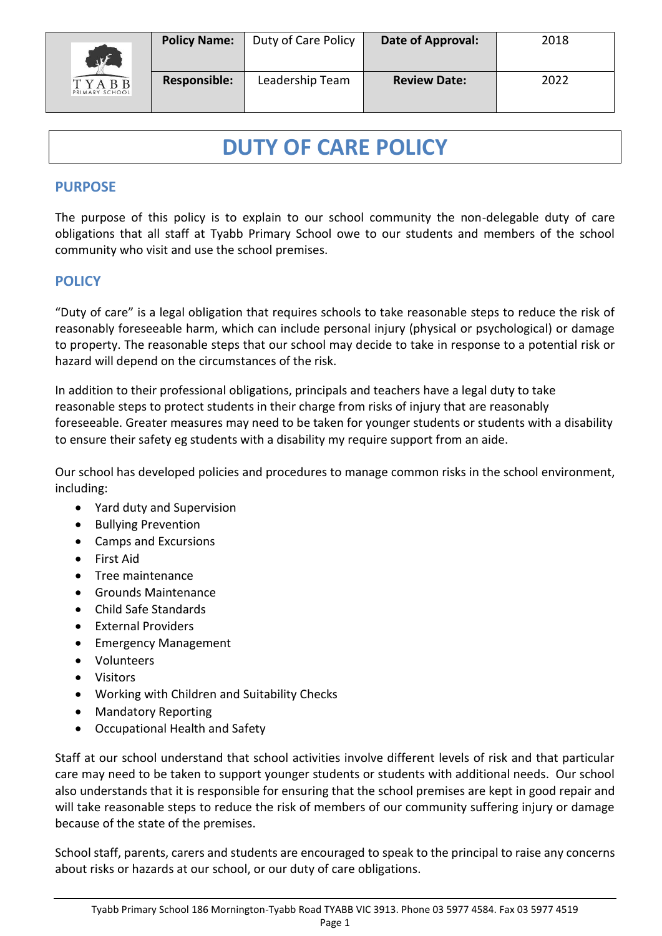

# **DUTY OF CARE POLICY**

#### **PURPOSE**

The purpose of this policy is to explain to our school community the non-delegable duty of care obligations that all staff at Tyabb Primary School owe to our students and members of the school community who visit and use the school premises.

### **POLICY**

"Duty of care" is a legal obligation that requires schools to take reasonable steps to reduce the risk of reasonably foreseeable harm, which can include personal injury (physical or psychological) or damage to property. The reasonable steps that our school may decide to take in response to a potential risk or hazard will depend on the circumstances of the risk.

In addition to their professional obligations, principals and teachers have a legal duty to take reasonable steps to protect students in their charge from risks of injury that are reasonably foreseeable. Greater measures may need to be taken for younger students or students with a disability to ensure their safety eg students with a disability my require support from an aide.

Our school has developed policies and procedures to manage common risks in the school environment, including:

- Yard duty and Supervision
- Bullying Prevention
- Camps and Excursions
- First Aid
- Tree maintenance
- Grounds Maintenance
- Child Safe Standards
- **External Providers**
- Emergency Management
- Volunteers
- Visitors
- Working with Children and Suitability Checks
- Mandatory Reporting
- Occupational Health and Safety

Staff at our school understand that school activities involve different levels of risk and that particular care may need to be taken to support younger students or students with additional needs. Our school also understands that it is responsible for ensuring that the school premises are kept in good repair and will take reasonable steps to reduce the risk of members of our community suffering injury or damage because of the state of the premises.

School staff, parents, carers and students are encouraged to speak to the principal to raise any concerns about risks or hazards at our school, or our duty of care obligations.